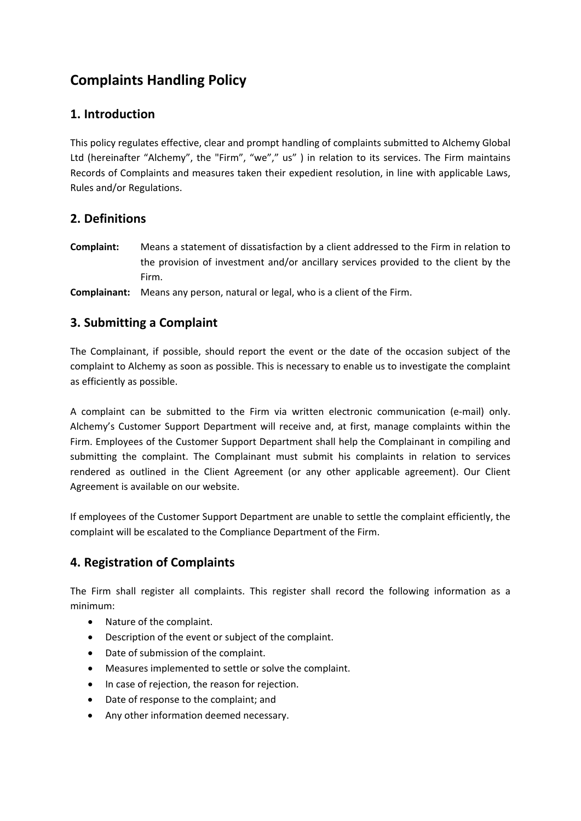# **Complaints Handling Policy**

## **1. Introduction**

This policy regulates effective, clear and prompt handling of complaints submitted to Alchemy Global Ltd (hereinafter "Alchemy", the "Firm", "we"," us" ) in relation to its services. The Firm maintains Records of Complaints and measures taken their expedient resolution, in line with applicable Laws, Rules and/or Regulations.

## **2. Definitions**

- **Complaint:** Means a statement of dissatisfaction by a client addressed to the Firm in relation to the provision of investment and/or ancillary services provided to the client by the Firm.
- **Complainant:** Means any person, natural or legal, who is a client of the Firm.

# **3. Submitting a Complaint**

The Complainant, if possible, should report the event or the date of the occasion subject of the complaint to Alchemy as soon as possible. This is necessary to enable us to investigate the complaint as efficiently as possible.

A complaint can be submitted to the Firm via written electronic communication (e-mail) only. Alchemy's Customer Support Department will receive and, at first, manage complaints within the Firm. Employees of the Customer Support Department shall help the Complainant in compiling and submitting the complaint. The Complainant must submit his complaints in relation to services rendered as outlined in the Client Agreement (or any other applicable agreement). Our Client Agreement is available on our website.

If employees of the Customer Support Department are unable to settle the complaint efficiently, the complaint will be escalated to the Compliance Department of the Firm.

# **4. Registration of Complaints**

The Firm shall register all complaints. This register shall record the following information as a minimum:

- Nature of the complaint.
- Description of the event or subject of the complaint.
- Date of submission of the complaint.
- Measures implemented to settle or solve the complaint.
- In case of rejection, the reason for rejection.
- Date of response to the complaint; and
- Any other information deemed necessary.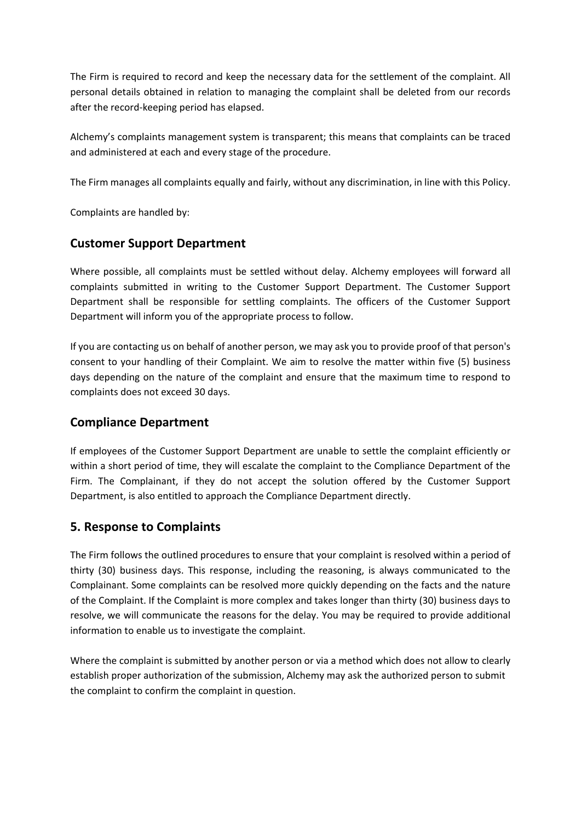The Firm is required to record and keep the necessary data for the settlement of the complaint. All personal details obtained in relation to managing the complaint shall be deleted from our records after the record-keeping period has elapsed.

Alchemy's complaints management system is transparent; this means that complaints can be traced and administered at each and every stage of the procedure.

The Firm manages all complaints equally and fairly, without any discrimination, in line with this Policy.

Complaints are handled by:

#### **Customer Support Department**

Where possible, all complaints must be settled without delay. Alchemy employees will forward all complaints submitted in writing to the Customer Support Department. The Customer Support Department shall be responsible for settling complaints. The officers of the Customer Support Department will inform you of the appropriate process to follow.

If you are contacting us on behalf of another person, we may ask you to provide proof of that person's consent to your handling of their Complaint. We aim to resolve the matter within five (5) business days depending on the nature of the complaint and ensure that the maximum time to respond to complaints does not exceed 30 days.

## **Compliance Department**

If employees of the Customer Support Department are unable to settle the complaint efficiently or within a short period of time, they will escalate the complaint to the Compliance Department of the Firm. The Complainant, if they do not accept the solution offered by the Customer Support Department, is also entitled to approach the Compliance Department directly.

## **5. Response to Complaints**

The Firm follows the outlined procedures to ensure that your complaint is resolved within a period of thirty (30) business days. This response, including the reasoning, is always communicated to the Complainant. Some complaints can be resolved more quickly depending on the facts and the nature of the Complaint. If the Complaint is more complex and takes longer than thirty (30) business days to resolve, we will communicate the reasons for the delay. You may be required to provide additional information to enable us to investigate the complaint.

Where the complaint is submitted by another person or via a method which does not allow to clearly establish proper authorization of the submission, Alchemy may ask the authorized person to submit the complaint to confirm the complaint in question.